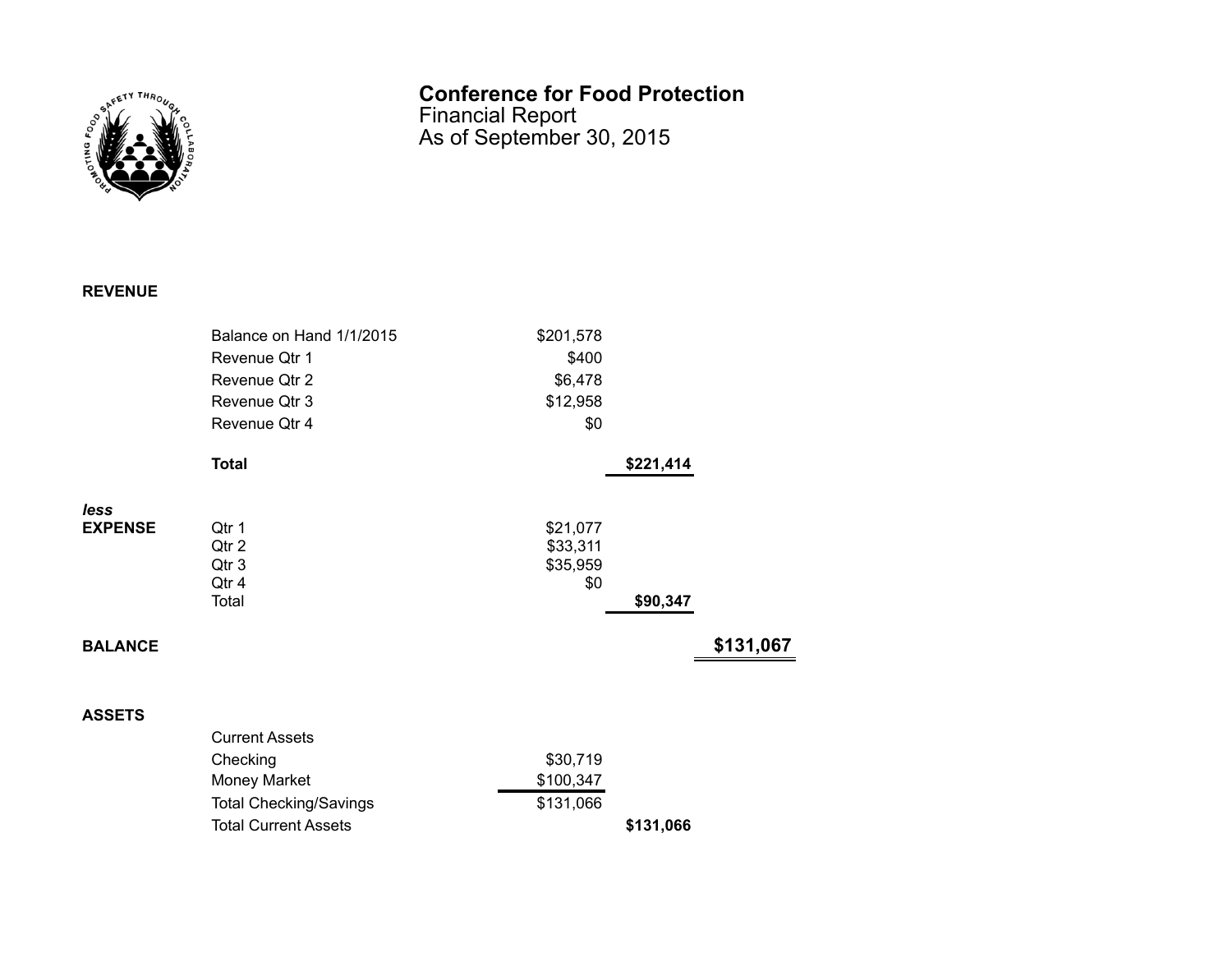

## **Conference for Food Protection**

Financial Report As of September 30, 2015

## **REVENUE**

|                | Balance on Hand 1/1/2015      | \$201,578 |           |           |
|----------------|-------------------------------|-----------|-----------|-----------|
|                | Revenue Qtr 1                 | \$400     |           |           |
|                | Revenue Qtr 2                 | \$6,478   |           |           |
|                | Revenue Qtr 3                 | \$12,958  |           |           |
|                | Revenue Qtr 4                 | \$0       |           |           |
|                | <b>Total</b>                  |           | \$221,414 |           |
| less           |                               |           |           |           |
| <b>EXPENSE</b> | Qtr 1                         | \$21,077  |           |           |
|                | Qtr 2                         | \$33,311  |           |           |
|                | Qtr 3                         | \$35,959  |           |           |
|                | Qtr 4                         | \$0       |           |           |
|                | Total                         |           | \$90,347  |           |
| <b>BALANCE</b> |                               |           |           | \$131,067 |
|                |                               |           |           |           |
| <b>ASSETS</b>  |                               |           |           |           |
|                | <b>Current Assets</b>         |           |           |           |
|                | Checking                      | \$30,719  |           |           |
|                | <b>Money Market</b>           | \$100,347 |           |           |
|                | <b>Total Checking/Savings</b> | \$131,066 |           |           |
|                | <b>Total Current Assets</b>   |           | \$131,066 |           |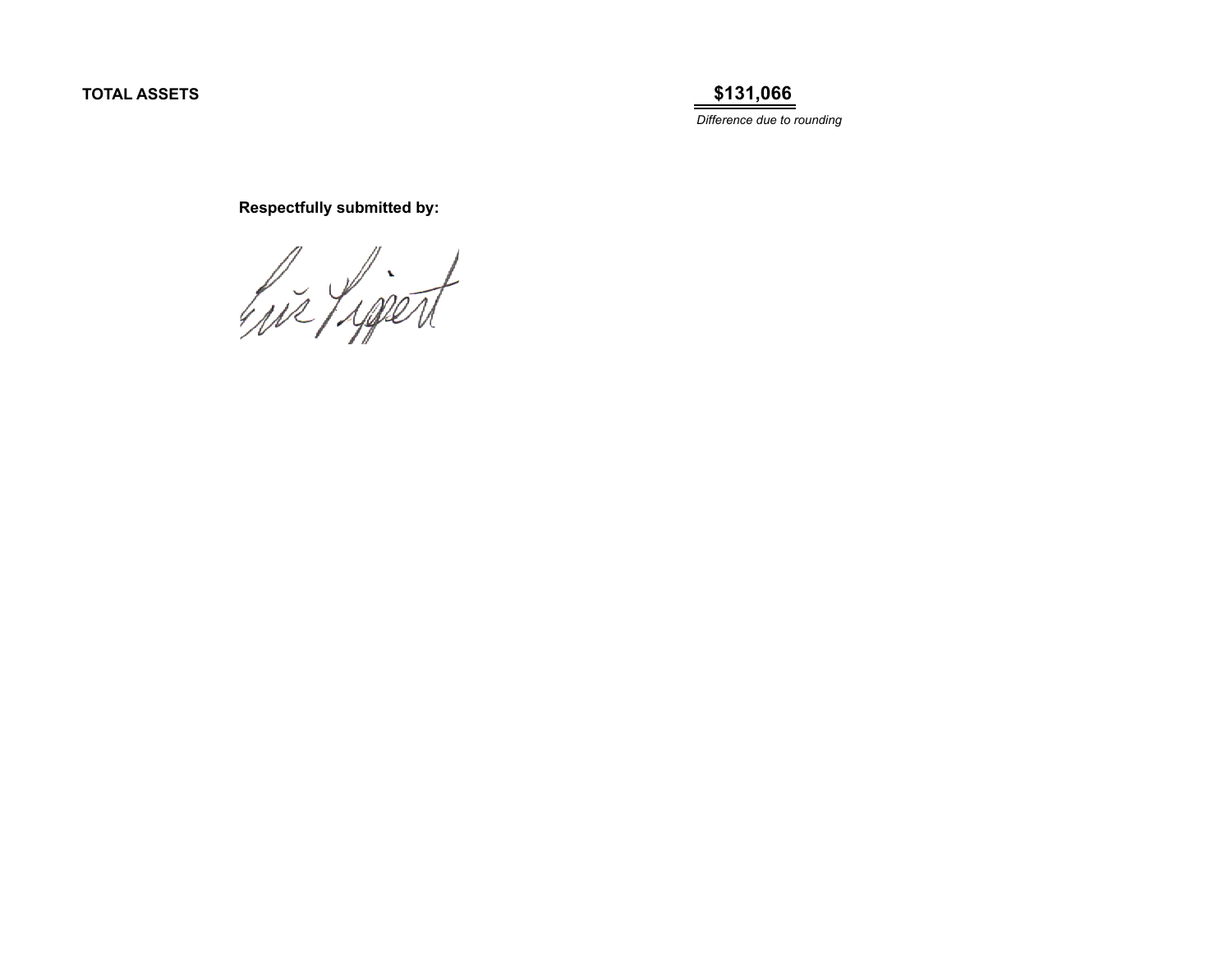**TOTAL ASSETS \$131,066**

*Difference due to rounding*

 **Respectfully submitted by:**

his Ligert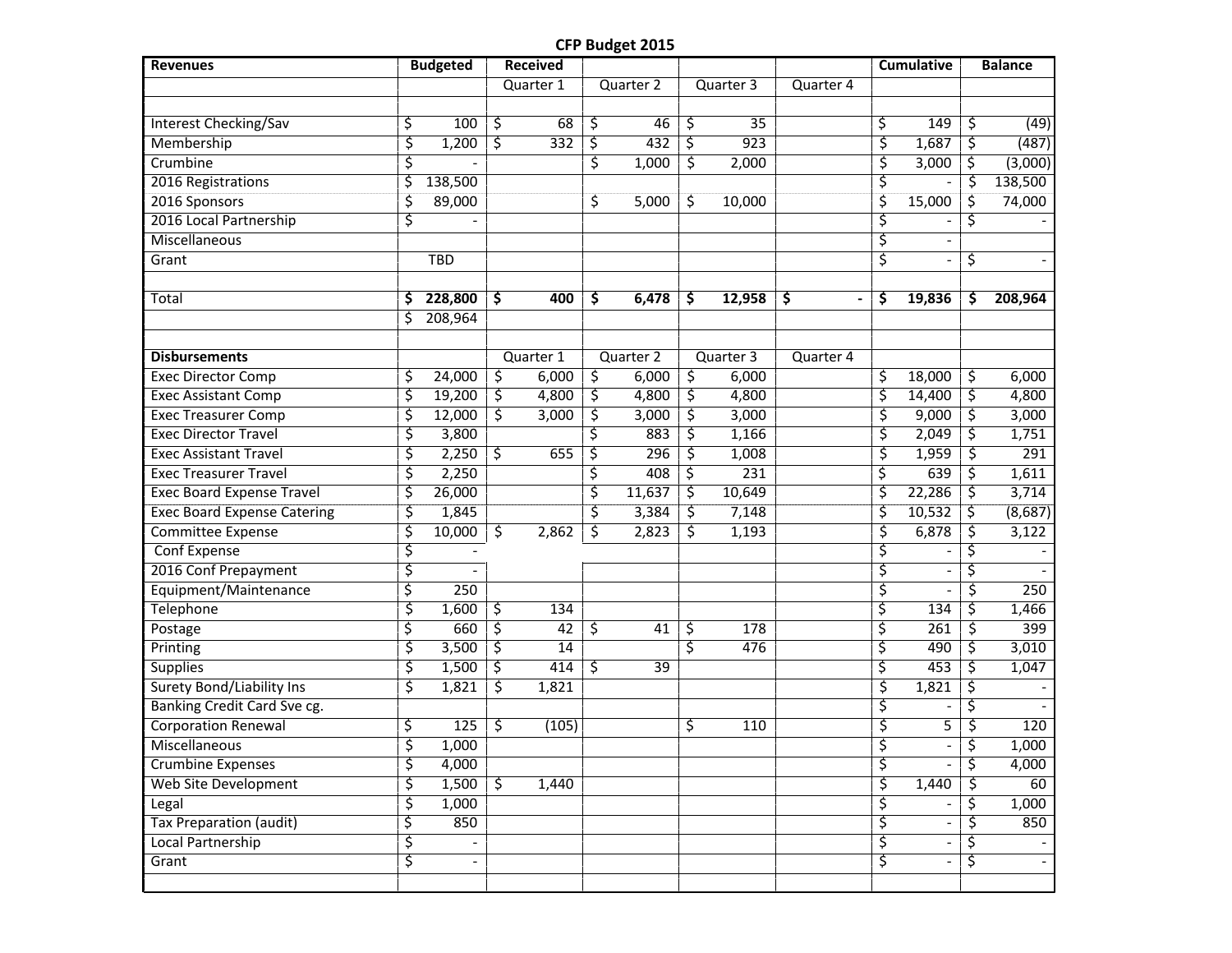## **CFP Budget 2015**

| <b>Revenues</b>                    |                         | <b>Budgeted</b>          |                        | <b>Received</b> |                       |    |                  |           |                         | <b>Cumulative</b>        |    | <b>Balance</b> |
|------------------------------------|-------------------------|--------------------------|------------------------|-----------------|-----------------------|----|------------------|-----------|-------------------------|--------------------------|----|----------------|
|                                    |                         |                          |                        | Quarter 1       | Quarter 2             |    | Quarter 3        | Quarter 4 |                         |                          |    |                |
|                                    |                         |                          |                        |                 |                       |    |                  |           |                         |                          |    |                |
| <b>Interest Checking/Sav</b>       | \$                      | 100                      | \$                     | 68              | \$<br>46              | \$ | 35               |           | \$                      | 149                      | \$ | (49)           |
| Membership                         | \$                      | 1,200                    | \$                     | 332             | \$<br>432             | \$ | $\overline{923}$ |           | \$                      | 1,687                    | \$ | (487)          |
| Crumbine                           | \$                      |                          |                        |                 | \$<br>1,000           | \$ | 2,000            |           | \$                      | 3,000                    | \$ | (3,000)        |
| 2016 Registrations                 | \$                      | 138,500                  |                        |                 |                       |    |                  |           | \$                      |                          | \$ | 138,500        |
| 2016 Sponsors                      | \$                      | 89,000                   |                        |                 | \$<br>5,000           | \$ | 10,000           |           | \$                      | 15,000                   | \$ | 74,000         |
| 2016 Local Partnership             | \$                      |                          |                        |                 |                       |    |                  |           | \$                      |                          | \$ |                |
| Miscellaneous                      |                         |                          |                        |                 |                       |    |                  |           | \$                      |                          |    |                |
| Grant                              |                         | <b>TBD</b>               |                        |                 |                       |    |                  |           | \$                      |                          | \$ |                |
|                                    |                         |                          |                        |                 |                       |    |                  |           |                         |                          |    |                |
| Total                              | \$                      | 228,800                  | \$                     | 400             | \$<br>6,478           | \$ | 12,958           | \$        | \$                      | 19,836                   | \$ | 208,964        |
|                                    | Ś                       | 208,964                  |                        |                 |                       |    |                  |           |                         |                          |    |                |
|                                    |                         |                          |                        |                 |                       |    |                  |           |                         |                          |    |                |
| <b>Disbursements</b>               |                         |                          |                        | Quarter 1       | Quarter 2             |    | Quarter 3        | Quarter 4 |                         |                          |    |                |
| <b>Exec Director Comp</b>          | \$                      | 24,000                   | \$                     | 6,000           | \$<br>6,000           | \$ | 6,000            |           | \$                      | 18,000                   | \$ | 6,000          |
| <b>Exec Assistant Comp</b>         | \$                      | 19,200                   | $\overline{\varsigma}$ | 4,800           | \$<br>4,800           | \$ | 4,800            |           | \$                      | 14,400                   | \$ | 4,800          |
| <b>Exec Treasurer Comp</b>         | \$                      | 12,000                   | \$                     | 3,000           | \$<br>3,000           | \$ | 3,000            |           | \$                      | 9,000                    | \$ | 3,000          |
| <b>Exec Director Travel</b>        | \$                      | 3,800                    |                        |                 | \$<br>883             | \$ | 1,166            |           | \$                      | 2,049                    | \$ | 1,751          |
| <b>Exec Assistant Travel</b>       | \$                      | 2,250                    | \$                     | 655             | \$<br>296             | \$ | 1,008            |           | \$                      | 1,959                    | \$ | 291            |
| <b>Exec Treasurer Travel</b>       | \$                      | 2,250                    |                        |                 | \$<br>408             | \$ | 231              |           | \$                      | 639                      | \$ | 1,611          |
| <b>Exec Board Expense Travel</b>   | \$                      | 26,000                   |                        |                 | \$<br>11,637          | \$ | 10,649           |           | \$                      | 22,286                   | \$ | 3,714          |
| <b>Exec Board Expense Catering</b> | \$                      | 1,845                    |                        |                 | \$<br>3,384           | \$ | 7,148            |           | \$                      | 10,532                   | \$ | (8,687)        |
| <b>Committee Expense</b>           | \$                      | 10,000                   | \$                     | 2,862           | \$<br>2,823           | \$ | 1,193            |           | \$                      | 6,878                    | \$ | 3,122          |
| Conf Expense                       | \$                      |                          |                        |                 |                       |    |                  |           | \$                      |                          | Ś  |                |
| 2016 Conf Prepayment               | \$                      |                          |                        |                 |                       |    |                  |           | ζ                       |                          | S  |                |
| Equipment/Maintenance              | \$                      | 250                      |                        |                 |                       |    |                  |           | \$                      |                          | \$ | 250            |
| <b>Telephone</b>                   | \$                      | 1,600                    | \$                     | 134             |                       |    |                  |           | \$                      | 134                      | \$ | 1,466          |
| Postage                            | \$                      | 660                      | ζ.                     | $\overline{42}$ | \$<br>$\overline{41}$ | \$ | 178              |           | \$                      | 261                      | \$ | 399            |
| Printing                           | \$                      | 3,500                    | ζ.                     | 14              |                       | ζ  | 476              |           | \$                      | 490                      | \$ | 3,010          |
| <b>Supplies</b>                    | \$                      | 1,500                    | \$                     | 414             | \$<br>39              |    |                  |           | \$                      | 453                      | \$ | 1,047          |
| <b>Surety Bond/Liability Ins</b>   | \$                      | 1,821                    | \$                     | 1,821           |                       |    |                  |           | \$                      | 1,821                    | \$ |                |
| Banking Credit Card Sve cg.        |                         |                          |                        |                 |                       |    |                  |           | \$                      |                          | \$ |                |
| <b>Corporation Renewal</b>         | \$                      | 125                      | \$                     | (105)           |                       | \$ | 110              |           | \$                      | 5                        | \$ | 120            |
| Miscellaneous                      | $\overline{\mathsf{s}}$ | 1,000                    |                        |                 |                       |    |                  |           | $\overline{\mathsf{S}}$ |                          | \$ | 1,000          |
| Crumbine Expenses                  | \$                      | 4,000                    |                        |                 |                       |    |                  |           | \$                      |                          | \$ | 4,000          |
| <b>Web Site Development</b>        | \$                      | 1,500                    | $\zeta$                | 1,440           |                       |    |                  |           | \$                      | 1,440                    | S  | 60             |
| Legal                              | \$                      | 1,000                    |                        |                 |                       |    |                  |           | \$                      |                          | \$ | 1,000          |
| <b>Tax Preparation (audit)</b>     | \$                      | 850                      |                        |                 |                       |    |                  |           | \$                      |                          | \$ | 850            |
| Local Partnership                  | \$                      |                          |                        |                 |                       |    |                  |           | \$                      | $\overline{\phantom{a}}$ | \$ |                |
| Grant                              | \$                      | $\overline{\phantom{a}}$ |                        |                 |                       |    |                  |           | \$                      | $\blacksquare$           | \$ |                |
|                                    |                         |                          |                        |                 |                       |    |                  |           |                         |                          |    |                |